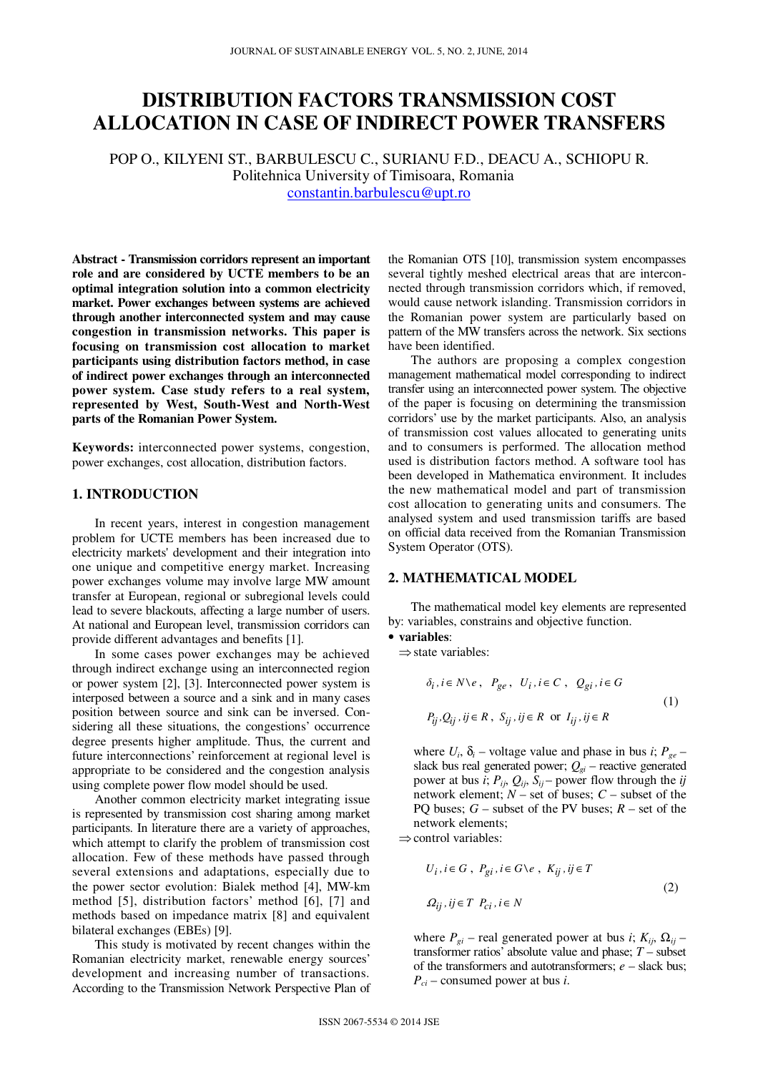# **DISTRIBUTION FACTORS TRANSMISSION COST ALLOCATION IN CASE OF INDIRECT POWER TRANSFERS**

POP O., KILYENI ST., BARBULESCU C., SURIANU F.D., DEACU A., SCHIOPU R. Politehnica University of Timisoara, Romania constantin.barbulescu@upt.ro

**Abstract - Transmission corridors represent an important role and are considered by UCTE members to be an optimal integration solution into a common electricity market. Power exchanges between systems are achieved through another interconnected system and may cause congestion in transmission networks. This paper is focusing on transmission cost allocation to market participants using distribution factors method, in case of indirect power exchanges through an interconnected power system. Case study refers to a real system, represented by West, South-West and North-West parts of the Romanian Power System.** 

**Keywords:** interconnected power systems, congestion, power exchanges, cost allocation, distribution factors.

# **1. INTRODUCTION**

In recent years, interest in congestion management problem for UCTE members has been increased due to electricity markets' development and their integration into one unique and competitive energy market. Increasing power exchanges volume may involve large MW amount transfer at European, regional or subregional levels could lead to severe blackouts, affecting a large number of users. At national and European level, transmission corridors can provide different advantages and benefits [1].

In some cases power exchanges may be achieved through indirect exchange using an interconnected region or power system [2], [3]. Interconnected power system is interposed between a source and a sink and in many cases position between source and sink can be inversed. Considering all these situations, the congestions' occurrence degree presents higher amplitude. Thus, the current and future interconnections' reinforcement at regional level is appropriate to be considered and the congestion analysis using complete power flow model should be used.

Another common electricity market integrating issue is represented by transmission cost sharing among market participants. In literature there are a variety of approaches, which attempt to clarify the problem of transmission cost allocation. Few of these methods have passed through several extensions and adaptations, especially due to the power sector evolution: Bialek method [4], MW-km method [5], distribution factors' method [6], [7] and methods based on impedance matrix [8] and equivalent bilateral exchanges (EBEs) [9].

This study is motivated by recent changes within the Romanian electricity market, renewable energy sources' development and increasing number of transactions. According to the Transmission Network Perspective Plan of

the Romanian OTS [10], transmission system encompasses several tightly meshed electrical areas that are interconnected through transmission corridors which, if removed, would cause network islanding. Transmission corridors in the Romanian power system are particularly based on pattern of the MW transfers across the network. Six sections have been identified.

The authors are proposing a complex congestion management mathematical model corresponding to indirect transfer using an interconnected power system. The objective of the paper is focusing on determining the transmission corridors' use by the market participants. Also, an analysis of transmission cost values allocated to generating units and to consumers is performed. The allocation method used is distribution factors method. A software tool has been developed in Mathematica environment. It includes the new mathematical model and part of transmission cost allocation to generating units and consumers. The analysed system and used transmission tariffs are based on official data received from the Romanian Transmission System Operator (OTS).

### **2. MATHEMATICAL MODEL**

The mathematical model key elements are represented by: variables, constrains and objective function.

#### • **variables**:

⇒state variables:

$$
\delta_i, i \in N \setminus e, \ P_{ge}, \ U_i, i \in C, \ Q_{gi}, i \in G
$$
  

$$
P_{ij}, Q_{ij}, ij \in R, \ S_{ij}, ij \in R \text{ or } I_{ij}, ij \in R
$$
 (1)

where  $U_i$ ,  $\delta_i$  – voltage value and phase in bus *i*;  $P_{ge}$  – slack bus real generated power;  $Q_{gi}$  – reactive generated power at bus *i*;  $P_{ij}$ ,  $Q_{ij}$ ,  $S_{ij}$  – power flow through the *ij* network element; *N* – set of buses; *C* – subset of the PQ buses;  $G$  – subset of the PV buses;  $R$  – set of the network elements;

⇒control variables:

$$
U_i, i \in G, P_{gi}, i \in G \setminus e, K_{ij}, ij \in T
$$
  

$$
\Omega_{ij}, ij \in T, P_{ci}, i \in N
$$
 (2)

where  $P_{gi}$  – real generated power at bus *i*;  $K_{ij}$ ,  $\Omega_{ij}$  – transformer ratios' absolute value and phase; *T* – subset of the transformers and autotransformers; *e* – slack bus; *Pci* – consumed power at bus *i*.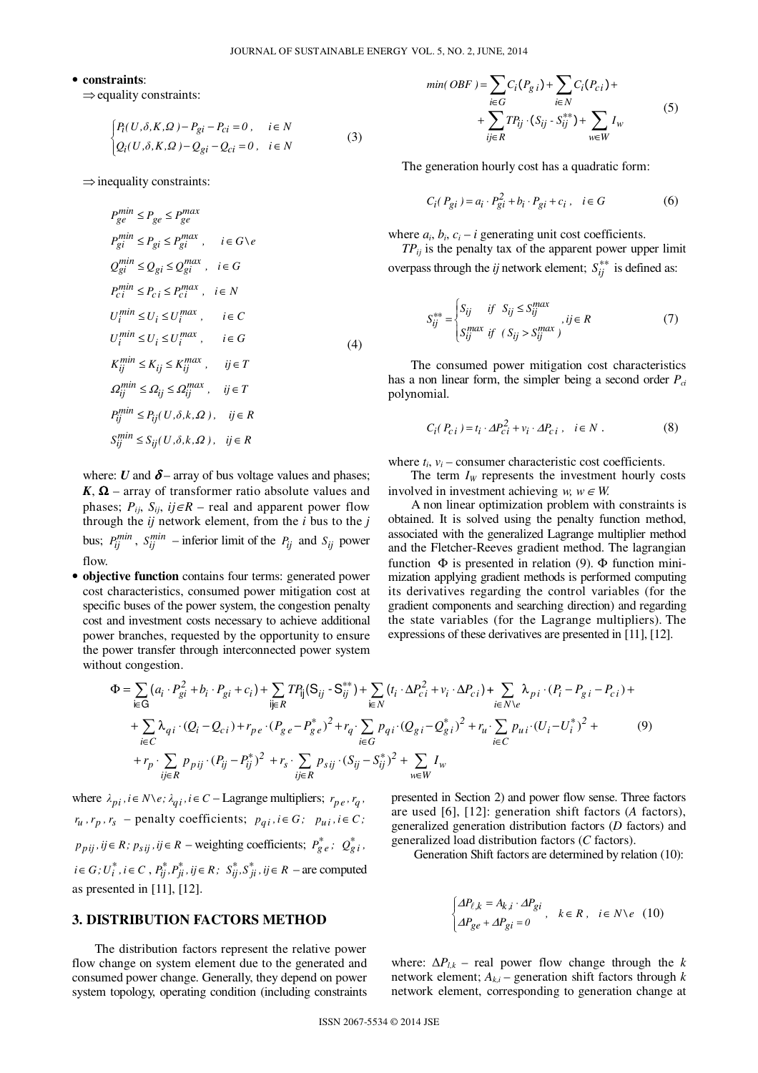### • **constraints**:

 $\Rightarrow$  equality constraints:

$$
\begin{cases} P_i(U,\delta,K,\Omega) - P_{gi} - P_{ci} = 0, & i \in N \\ Q_i(U,\delta,K,\Omega) - Q_{gi} - Q_{ci} = 0, & i \in N \end{cases}
$$
 (3)

 $\Rightarrow$  inequality constraints:

$$
P_{ge}^{min} \le P_{ge} \le P_{ge}^{max}
$$
\n
$$
P_{gi}^{min} \le P_{gi} \le P_{gi}^{max}, \quad i \in G \setminus e
$$
\n
$$
Q_{gi}^{min} \le Q_{gi} \le Q_{gi}^{max}, \quad i \in G
$$
\n
$$
P_{ci}^{min} \le P_{ci} \le P_{ci}^{max}, \quad i \in N
$$
\n
$$
U_i^{min} \le U_i \le U_i^{max}, \quad i \in C
$$
\n
$$
U_i^{min} \le U_i \le U_i^{max}, \quad i \in G
$$
\n
$$
K_{ij}^{min} \le K_{ij} \le K_{ij}^{max}, \quad ij \in T
$$
\n
$$
Q_{ij}^{min} \le Q_{ij} \le Q_{ij}^{max}, \quad ij \in T
$$
\n
$$
P_{ij}^{min} \le P_{ij}(U, \delta, k, \Omega), \quad ij \in R
$$
\n
$$
S_{ij}^{min} \le S_{ij}(U, \delta, k, \Omega), \quad ij \in R
$$

where: *U* and  $\delta$  – array of bus voltage values and phases;  $K$ ,  $\Omega$  – array of transformer ratio absolute values and phases;  $P_{ij}$ ,  $S_{ij}$ ,  $ij \in R$  – real and apparent power flow through the *ij* network element, from the *i* bus to the *j* bus;  $P_{ij}^{min}$ ,  $S_{ij}^{min}$  – inferior limit of the  $P_{ij}$  and  $S_{ij}$  power flow.

• **objective function** contains four terms: generated power cost characteristics, consumed power mitigation cost at specific buses of the power system, the congestion penalty cost and investment costs necessary to achieve additional power branches, requested by the opportunity to ensure the power transfer through interconnected power system without congestion.

$$
min(OBF) = \sum_{i \in G} C_i (P_{g i}) + \sum_{i \in N} C_i (P_{ci}) + \sum_{i \in K} T P_{ij} \cdot (S_{ij} - S_{ij}^{**}) + \sum_{w \in W} I_w
$$
 (5)

The generation hourly cost has a quadratic form:

$$
C_i(P_{gi}) = a_i \cdot P_{gi}^2 + b_i \cdot P_{gi} + c_i, \quad i \in G
$$
 (6)

where  $a_i$ ,  $b_i$ ,  $c_i - i$  generating unit cost coefficients.

*TPij* is the penalty tax of the apparent power upper limit overpass through the *ij* network element;  $S_{ij}^{**}$  is defined as:

$$
S_{ij}^{**} = \begin{cases} S_{ij} & \text{if } S_{ij} \le S_{ij}^{max} \\ S_{ij}^{max} & \text{if } (S_{ij} > S_{ij}^{max}) \end{cases}, \text{if } R \tag{7}
$$

The consumed power mitigation cost characteristics has a non linear form, the simpler being a second order *Pci* polynomial.

$$
C_i(P_{ci}) = t_i \cdot \Delta P_{ci}^2 + v_i \cdot \Delta P_{ci} , \quad i \in N .
$$
 (8)

where  $t_i$ ,  $v_i$  – consumer characteristic cost coefficients.

The term  $I_W$  represents the investment hourly costs involved in investment achieving *w*,  $w \in W$ .

A non linear optimization problem with constraints is obtained. It is solved using the penalty function method, associated with the generalized Lagrange multiplier method and the Fletcher-Reeves gradient method. The lagrangian function  $\Phi$  is presented in relation (9).  $\Phi$  function minimization applying gradient methods is performed computing its derivatives regarding the control variables (for the gradient components and searching direction) and regarding the state variables (for the Lagrange multipliers). The expressions of these derivatives are presented in [11], [12].

$$
\Phi = \sum_{i \in G} (a_i \cdot P_{gi}^2 + b_i \cdot P_{gi} + c_i) + \sum_{ij \in R} T P_{ij} (S_{ij} - S_{ij}^{**}) + \sum_{i \in N} (t_i \cdot \Delta P_{ci}^2 + v_i \cdot \Delta P_{ci}) + \sum_{i \in N \setminus e} \lambda_{pi} \cdot (P_i - P_{gi} - P_{ci}) + + \sum_{i \in C} \lambda_{qi} \cdot (Q_i - Q_{ci}) + r_{pe} \cdot (P_{ge} - P_{ge}^*)^2 + r_q \cdot \sum_{i \in G} P_{qi} \cdot (Q_{gi} - Q_{gi}^*)^2 + r_u \cdot \sum_{i \in C} P_{ui} \cdot (U_i - U_i^*)^2 + + r_p \cdot \sum_{ij \in R} p_{pij} \cdot (P_{ij} - P_{ij}^*)^2 + r_s \cdot \sum_{ij \in R} p_{sij} \cdot (S_{ij} - S_{ij}^*)^2 + \sum_{w \in W} I_w
$$
\n(9)

where  $\lambda_{pi}$ ,  $i \in N \setminus e$ ;  $\lambda_{qi}$ ,  $i \in C$  – Lagrange multipliers;  $r_{pe}$ ,  $r_q$ ,  $r_u$ ,  $r_p$ ,  $r_s$  – penalty coefficients;  $p_{qi}$ ,  $i \in G$ ;  $p_{ui}$ ,  $i \in C$ ;  $p_{pij}, i j \in R$ ;  $p_{sij}, i j \in R$  – weighting coefficients;  $P_{ge}^*$ ;  $Q_{gi}^*$ ;  $i \in G$ ;  $U_i^*$ ,  $i \in C$ ,  $P_{ij}^*$ ,  $P_{ji}^*$ ,  $ij \in R$ ;  $S_{ij}^*$ ,  $S_{ji}^*$ ,  $ij \in R$  – are computed as presented in [11], [12].

# **3. DISTRIBUTION FACTORS METHOD**

The distribution factors represent the relative power flow change on system element due to the generated and consumed power change. Generally, they depend on power system topology, operating condition (including constraints presented in Section 2) and power flow sense. Three factors are used [6], [12]: generation shift factors (*A* factors), generalized generation distribution factors (*D* factors) and generalized load distribution factors (*C* factors).

Generation Shift factors are determined by relation (10):

$$
\begin{cases} \varDelta P_{\ell,k}=A_{k,i}\cdot\varDelta P_{gi}\\ \varDelta P_{ge}+\varDelta P_{gi}=0 \end{cases},\ \ k\in R\,,\ \ i\in N\backslash e\quad (10)
$$

where:  $\Delta P_{lk}$  – real power flow change through the *k* network element;  $A_{ki}$  – generation shift factors through  $k$ network element, corresponding to generation change at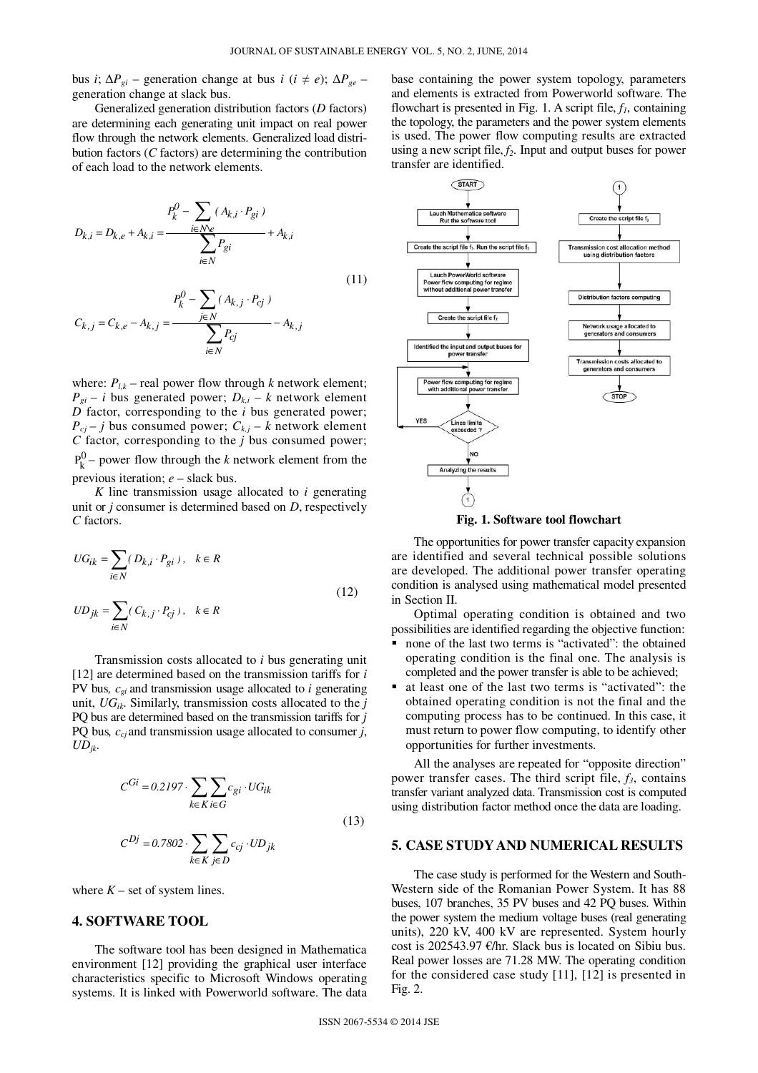bus *i*; ∆*Pgi* – generation change at bus *i* (*i* ≠ *e*); ∆*Pge* – generation change at slack bus.

Generalized generation distribution factors (*D* factors) are determining each generating unit impact on real power flow through the network elements. Generalized load distribution factors (*C* factors) are determining the contribution of each load to the network elements.

$$
D_{k,i} = D_{k,e} + A_{k,i} = \frac{P_k^0 - \sum_{i \in N \setminus e} (A_{k,i} \cdot P_{gi})}{\sum_{i \in N} P_{gi}} + A_{k,i}
$$
(11)

$$
P_k^0 - \sum_{j \in N} (A_{k,j} \cdot P_{cj})
$$

$$
C_{k,j} = C_{k,e} - A_{k,j} = \frac{\sum_{i \in N} P_{cj}}{\sum_{i \in N} P_{cj}} - A_{k,j}
$$

where:  $P_{l,k}$  – real power flow through *k* network element;  $P_{gi} - i$  bus generated power;  $D_{k,i} - k$  network element *D* factor, corresponding to the *i* bus generated power;  $P_{cj} - j$  bus consumed power;  $C_{k,j} - k$  network element  $C$  factor, corresponding to the  $j$  bus consumed power;  $P_k^0$  – power flow through the *k* network element from the previous iteration; *e* – slack bus.

*K* line transmission usage allocated to *i* generating unit or *j* consumer is determined based on *D*, respectively *C* factors.

$$
UG_{ik} = \sum_{i \in N} (D_{k,i} \cdot P_{gi}), \quad k \in R
$$
  

$$
UD_{jk} = \sum (C_{k,j} \cdot P_{cj}), \quad k \in R
$$
 (12)

Transmission costs allocated to *i* bus generating unit [12] are determined based on the transmission tariffs for *i* PV bus*, cgi* and transmission usage allocated to *i* generating unit, *UGik*. Similarly, transmission costs allocated to the *j* PQ bus are determined based on the transmission tariffs for *j* PQ bus*, ccj* and transmission usage allocated to consumer *j*,  $UD_{ik}$ .

$$
C^{Gi} = 0.2197 \cdot \sum_{k \in K} \sum_{i \in G} c_{gi} \cdot UG_{ik}
$$
  

$$
C^{Dj} = 0.7802 \cdot \sum_{k \in K} \sum_{j \in D} c_{cj} \cdot UD_{jk}
$$
 (13)

where  $K$  – set of system lines.

## **4. SOFTWARE TOOL**

 $\frac{1}{i \in N}$ 

The software tool has been designed in Mathematica environment [12] providing the graphical user interface characteristics specific to Microsoft Windows operating systems. It is linked with Powerworld software. The data

base containing the power system topology, parameters and elements is extracted from Powerworld software. The flowchart is presented in Fig. 1. A script file, *f1*, containing the topology, the parameters and the power system elements is used. The power flow computing results are extracted using a new script file, *f2*. Input and output buses for power transfer are identified.





The opportunities for power transfer capacity expansion are identified and several technical possible solutions are developed. The additional power transfer operating condition is analysed using mathematical model presented in Section II.

Optimal operating condition is obtained and two possibilities are identified regarding the objective function:

- none of the last two terms is "activated": the obtained operating condition is the final one. The analysis is completed and the power transfer is able to be achieved;
- at least one of the last two terms is "activated": the obtained operating condition is not the final and the computing process has to be continued. In this case, it must return to power flow computing, to identify other opportunities for further investments.

All the analyses are repeated for "opposite direction" power transfer cases. The third script file, *f3*, contains transfer variant analyzed data. Transmission cost is computed using distribution factor method once the data are loading.

# **5. CASE STUDY AND NUMERICAL RESULTS**

The case study is performed for the Western and South-Western side of the Romanian Power System. It has 88 buses, 107 branches, 35 PV buses and 42 PQ buses. Within the power system the medium voltage buses (real generating units), 220 kV, 400 kV are represented. System hourly cost is 202543.97 €/hr. Slack bus is located on Sibiu bus. Real power losses are 71.28 MW. The operating condition for the considered case study [11], [12] is presented in Fig. 2.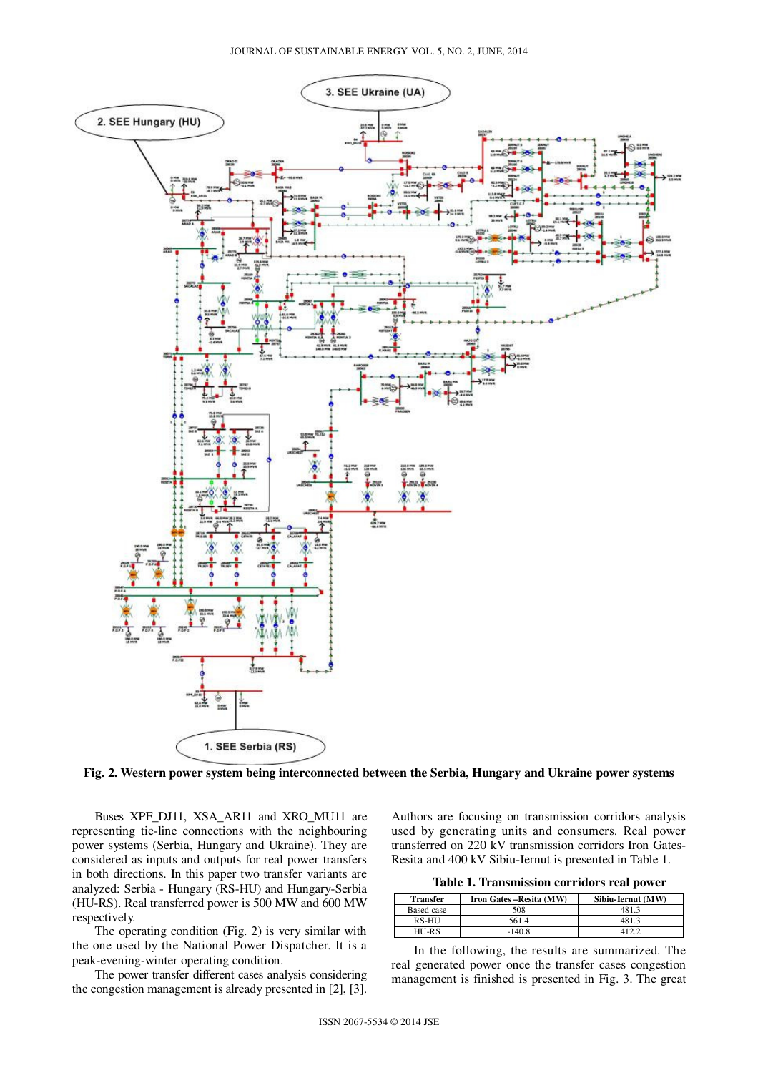

**Fig. 2. Western power system being interconnected between the Serbia, Hungary and Ukraine power systems** 

Buses XPF\_DJ11, XSA\_AR11 and XRO\_MU11 are representing tie-line connections with the neighbouring power systems (Serbia, Hungary and Ukraine). They are considered as inputs and outputs for real power transfers in both directions. In this paper two transfer variants are analyzed: Serbia - Hungary (RS-HU) and Hungary-Serbia (HU-RS). Real transferred power is 500 MW and 600 MW respectively.

The operating condition (Fig. 2) is very similar with the one used by the National Power Dispatcher. It is a peak-evening-winter operating condition.

The power transfer different cases analysis considering the congestion management is already presented in [2], [3].

Authors are focusing on transmission corridors analysis used by generating units and consumers. Real power transferred on 220 kV transmission corridors Iron Gates-Resita and 400 kV Sibiu-Iernut is presented in Table 1.

**Table 1. Transmission corridors real power** 

| <b>Transfer</b> | Iron Gates – Resita (MW) | Sibiu-Iernut (MW) |
|-----------------|--------------------------|-------------------|
| Based case      | 508                      | 481.3             |
| RS-HU           | 561.4                    | 481.3             |
| $HU-RS$         | $-140.8$                 |                   |

In the following, the results are summarized. The real generated power once the transfer cases congestion management is finished is presented in Fig. 3. The great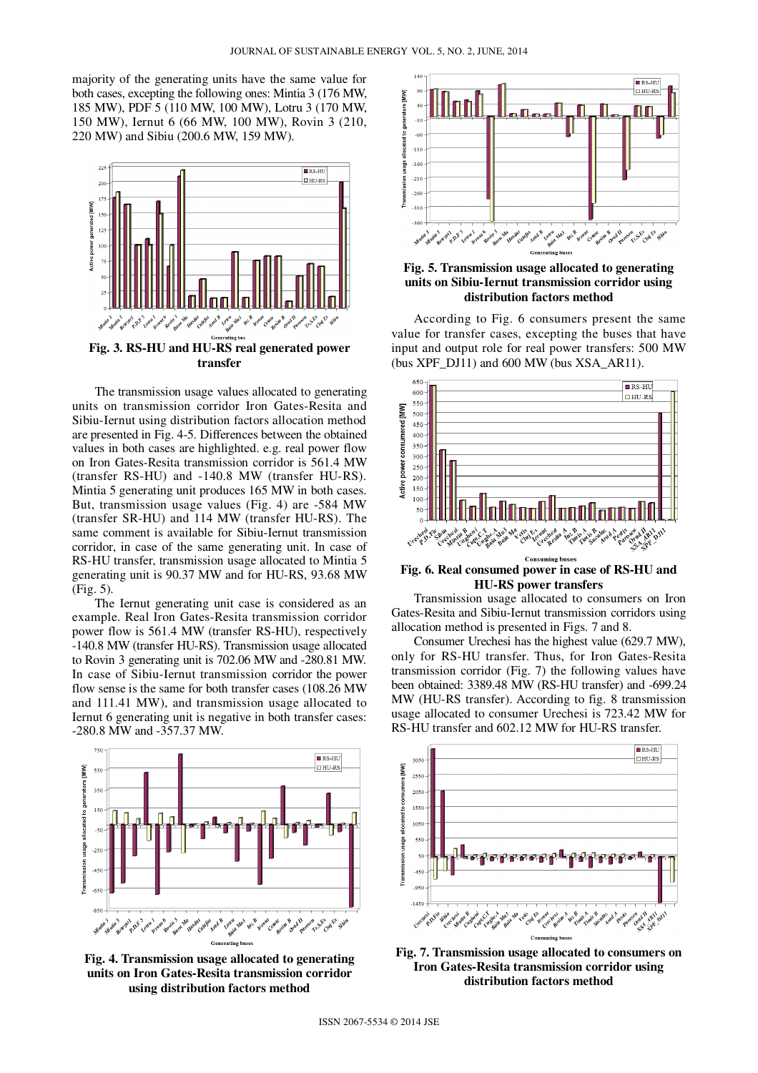majority of the generating units have the same value for both cases, excepting the following ones: Mintia 3 (176 MW, 185 MW), PDF 5 (110 MW, 100 MW), Lotru 3 (170 MW, 150 MW), Iernut 6 (66 MW, 100 MW), Rovin 3 (210, 220 MW) and Sibiu (200.6 MW, 159 MW).



The transmission usage values allocated to generating units on transmission corridor Iron Gates-Resita and Sibiu-Iernut using distribution factors allocation method are presented in Fig. 4-5. Differences between the obtained values in both cases are highlighted. e.g. real power flow on Iron Gates-Resita transmission corridor is 561.4 MW (transfer RS-HU) and -140.8 MW (transfer HU-RS). Mintia 5 generating unit produces 165 MW in both cases. But, transmission usage values (Fig. 4) are -584 MW (transfer SR-HU) and 114 MW (transfer HU-RS). The same comment is available for Sibiu-Iernut transmission corridor, in case of the same generating unit. In case of RS-HU transfer, transmission usage allocated to Mintia 5 generating unit is 90.37 MW and for HU-RS, 93.68 MW (Fig. 5).

The Iernut generating unit case is considered as an example. Real Iron Gates-Resita transmission corridor power flow is 561.4 MW (transfer RS-HU), respectively -140.8 MW (transfer HU-RS). Transmission usage allocated to Rovin 3 generating unit is 702.06 MW and -280.81 MW. In case of Sibiu-Iernut transmission corridor the power flow sense is the same for both transfer cases (108.26 MW and 111.41 MW), and transmission usage allocated to Iernut 6 generating unit is negative in both transfer cases: -280.8 MW and -357.37 MW.



**Fig. 4. Transmission usage allocated to generating units on Iron Gates-Resita transmission corridor using distribution factors method** 



**Fig. 5. Transmission usage allocated to generating units on Sibiu-Iernut transmission corridor using distribution factors method** 

According to Fig. 6 consumers present the same value for transfer cases, excepting the buses that have input and output role for real power transfers: 500 MW (bus XPF\_DJ11) and 600 MW (bus XSA\_AR11).



**Fig. 6. Real consumed power in case of RS-HU and HU-RS power transfers** 

Transmission usage allocated to consumers on Iron Gates-Resita and Sibiu-Iernut transmission corridors using allocation method is presented in Figs. 7 and 8.

Consumer Urechesi has the highest value (629.7 MW), only for RS-HU transfer. Thus, for Iron Gates-Resita transmission corridor (Fig. 7) the following values have been obtained: 3389.48 MW (RS-HU transfer) and -699.24 MW (HU-RS transfer). According to fig. 8 transmission usage allocated to consumer Urechesi is 723.42 MW for RS-HU transfer and 602.12 MW for HU-RS transfer.



**Fig. 7. Transmission usage allocated to consumers on Iron Gates-Resita transmission corridor using distribution factors method**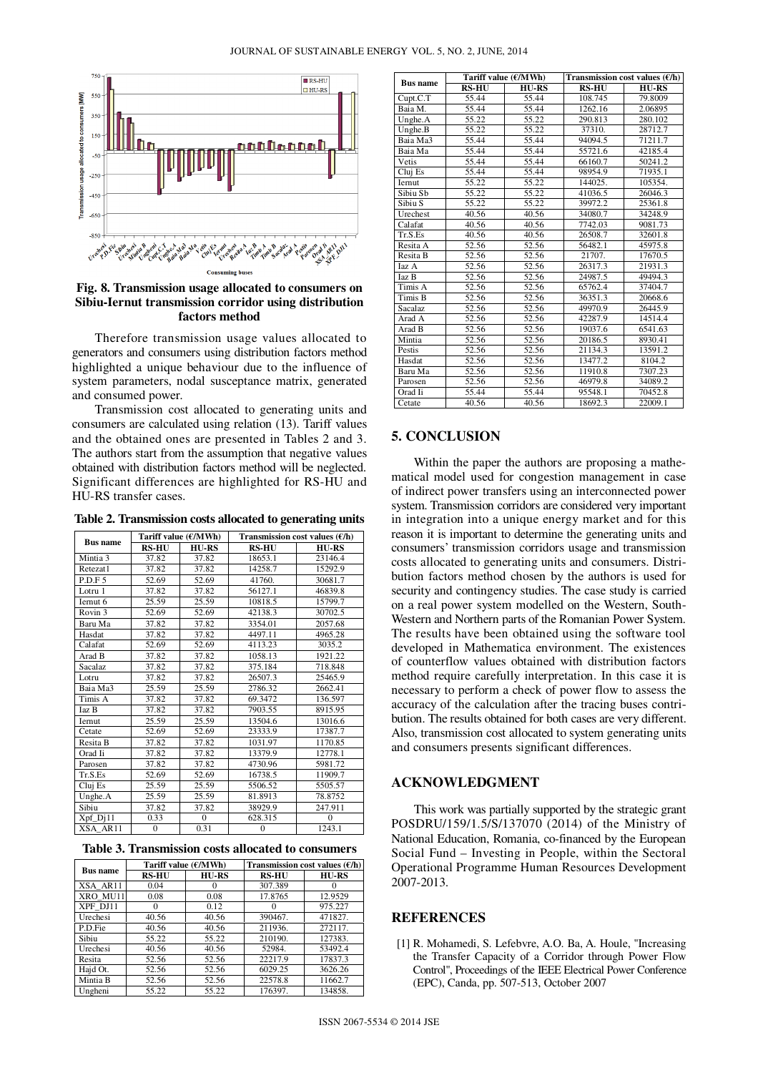

**Fig. 8. Transmission usage allocated to consumers on Sibiu-Iernut transmission corridor using distribution factors method** 

Therefore transmission usage values allocated to generators and consumers using distribution factors method highlighted a unique behaviour due to the influence of system parameters, nodal susceptance matrix, generated and consumed power.

Transmission cost allocated to generating units and consumers are calculated using relation (13). Tariff values and the obtained ones are presented in Tables 2 and 3. The authors start from the assumption that negative values obtained with distribution factors method will be neglected. Significant differences are highlighted for RS-HU and HU-RS transfer cases.

**Table 2. Transmission costs allocated to generating units** 

| <b>Bus name</b>     | Tariff value $(E/MWh)$ |          | Transmission cost values $(f/h)$ |              |  |
|---------------------|------------------------|----------|----------------------------------|--------------|--|
|                     | <b>RS-HU</b>           | $HU-RS$  | <b>RS-HU</b>                     | <b>HU-RS</b> |  |
| Mintia <sub>3</sub> | 37.82                  | 37.82    | 18653.1                          | 23146.4      |  |
| Retezat1            | 37.82                  | 37.82    | 14258.7                          | 15292.9      |  |
| P.D.F 5             | 52.69                  | 52.69    | 41760.                           | 30681.7      |  |
| Lotru 1             | 37.82                  | 37.82    | 56127.1                          | 46839.8      |  |
| Iernut 6            | 25.59                  | 25.59    | 10818.5                          | 15799.7      |  |
| Rovin <sub>3</sub>  | 52.69                  | 52.69    | 42138.3                          | 30702.5      |  |
| Baru Ma             | 37.82                  | 37.82    | 3354.01                          | 2057.68      |  |
| Hasdat              | 37.82                  | 37.82    | 4497.11                          | 4965.28      |  |
| Calafat             | 52.69                  | 52.69    | 4113.23                          | 3035.2       |  |
| Arad B              | 37.82                  | 37.82    | 1058.13                          | 1921.22      |  |
| <b>Sacalaz</b>      | 37.82                  | 37.82    | 375.184                          | 718.848      |  |
| Lotru               | 37.82                  | 37.82    | 26507.3                          | 25465.9      |  |
| Baia Ma3            | 25.59                  | 25.59    | 2786.32                          | 2662.41      |  |
| Timis A             | 37.82                  | 37.82    | 69.3472                          | 136.597      |  |
| <b>Iaz B</b>        | 37.82                  | 37.82    | 7903.55                          | 8915.95      |  |
| Iernut              | 25.59                  | 25.59    | 13504.6                          | 13016.6      |  |
| Cetate              | 52.69                  | 52.69    | 23333.9                          | 17387.7      |  |
| Resita B            | 37.82                  | 37.82    | 1031.97                          | 1170.85      |  |
| Orad Ii             | 37.82                  | 37.82    | 13379.9                          | 12778.1      |  |
| Parosen             | 37.82                  | 37.82    | 4730.96                          | 5981.72      |  |
| Tr.S.Es             | 52.69                  | 52.69    | 16738.5                          | 11909.7      |  |
| Cluj Es             | 25.59                  | 25.59    | 5506.52                          | 5505.57      |  |
| Unghe.A             | 25.59                  | 25.59    | 81.8913                          | 78.8752      |  |
| Sibiu               | 37.82                  | 37.82    | 38929.9                          | 247.911      |  |
| $Xpf_Dj11$          | 0.33                   | $\Omega$ | 628.315                          | $\Omega$     |  |
| XSA AR11            | $\overline{0}$         | 0.31     | $\mathbf{0}$                     | 1243.1       |  |

| <b>Bus name</b> | Tariff value $(\epsilon/MWh)$ |              |              | Transmission cost values $(\mathcal{E}/h)$ |  |
|-----------------|-------------------------------|--------------|--------------|--------------------------------------------|--|
|                 | <b>RS-HU</b>                  | <b>HU-RS</b> | <b>RS-HU</b> | $HU-RS$                                    |  |
| XSA AR11        | 0.04                          | $^{(1)}$     | 307.389      |                                            |  |
| XRO MU11        | 0.08                          | 0.08         | 17.8765      | 12.9529                                    |  |
| XPF DJ11        |                               | 0.12         |              | 975.227                                    |  |
| Urechesi        | 40.56                         | 40.56        | 390467.      | 471827.                                    |  |
| P.D.Fie         | 40.56                         | 40.56        | 211936.      | 272117.                                    |  |
| Sibiu           | 55.22                         | 55.22        | 210190.      | 127383.                                    |  |
| Urechesi        | 40.56                         | 40.56        | 52984.       | 53492.4                                    |  |
| Resita          | 52.56                         | 52.56        | 22217.9      | 17837.3                                    |  |
| Hajd Ot.        | 52.56                         | 52.56        | 6029.25      | 3626.26                                    |  |
| Mintia B        | 52.56                         | 52.56        | 22578.8      | 11662.7                                    |  |
| Ungheni         | 55.22                         | 55.22        | 176397.      | 134858.                                    |  |

| <b>Bus name</b> | Tariff value $(E/MWh)$ |              | Transmission cost values $(\mathcal{E}/h)$ |              |
|-----------------|------------------------|--------------|--------------------------------------------|--------------|
|                 | <b>RS-HU</b>           | <b>HU-RS</b> | <b>RS-HU</b>                               | <b>HU-RS</b> |
| Cupt.C.T        | 55.44                  | 55.44        | 108.745                                    | 79.8009      |
| Baia M.         | 55.44                  | 55.44        | 1262.16                                    | 2.06895      |
| Unghe.A         | 55.22                  | 55.22        | 290.813                                    | 280.102      |
| Unghe.B         | 55.22                  | 55.22        | 37310.                                     | 28712.7      |
| Baia Ma3        | 55.44                  | 55.44        | 94094.5                                    | 71211.7      |
| Baia Ma         | 55.44                  | 55.44        | 55721.6                                    | 42185.4      |
| Vetis           | 55.44                  | 55.44        | 66160.7                                    | 50241.2      |
| Cluj Es         | 55.44                  | 55.44        | 98954.9                                    | 71935.1      |
| Iernut          | 55.22                  | 55.22        | 144025.                                    | 105354.      |
| Sibiu Sb        | 55.22                  | 55.22        | 41036.5                                    | 26046.3      |
| Sibiu S         | 55.22                  | 55.22        | 39972.2                                    | 25361.8      |
| Urechest        | 40.56                  | 40.56        | 34080.7                                    | 34248.9      |
| Calafat         | 40.56                  | 40.56        | 7742.03                                    | 9081.73      |
| Tr.S.Es         | 40.56                  | 40.56        | 26508.7                                    | 32601.8      |
| Resita A        | 52.56                  | 52.56        | 56482.1                                    | 45975.8      |
| Resita B        | 52.56                  | 52.56        | 21707.                                     | 17670.5      |
| Iaz A           | 52.56                  | 52.56        | 26317.3                                    | 21931.3      |
| Iaz B           | 52.56                  | 52.56        | 24987.5                                    | 49494.3      |
| Timis A         | 52.56                  | 52.56        | 65762.4                                    | 37404.7      |
| Timis B         | 52.56                  | 52.56        | 36351.3                                    | 20668.6      |
| Sacalaz         | 52.56                  | 52.56        | 49970.9                                    | 26445.9      |
| Arad A          | 52.56                  | 52.56        | 42287.9                                    | 14514.4      |
| Arad B          | 52.56                  | 52.56        | 19037.6                                    | 6541.63      |
| Mintia          | 52.56                  | 52.56        | 20186.5                                    | 8930.41      |
| Pestis          | 52.56                  | 52.56        | 21134.3                                    | 13591.2      |
| Hasdat          | 52.56                  | 52.56        | 13477.2                                    | 8104.2       |
| Baru Ma         | 52.56                  | 52.56        | 11910.8                                    | 7307.23      |
| Parosen         | 52.56                  | 52.56        | 46979.8                                    | 34089.2      |
| Orad Ii         | 55.44                  | 55.44        | 95548.1                                    | 70452.8      |
| Cetate          | 40.56                  | 40.56        | 18692.3                                    | 22009.1      |

## **5. CONCLUSION**

Within the paper the authors are proposing a mathematical model used for congestion management in case of indirect power transfers using an interconnected power system. Transmission corridors are considered very important in integration into a unique energy market and for this reason it is important to determine the generating units and consumers' transmission corridors usage and transmission costs allocated to generating units and consumers. Distribution factors method chosen by the authors is used for security and contingency studies. The case study is carried on a real power system modelled on the Western, South-Western and Northern parts of the Romanian Power System. The results have been obtained using the software tool developed in Mathematica environment. The existences of counterflow values obtained with distribution factors method require carefully interpretation. In this case it is necessary to perform a check of power flow to assess the accuracy of the calculation after the tracing buses contribution. The results obtained for both cases are very different. Also, transmission cost allocated to system generating units and consumers presents significant differences.

#### **ACKNOWLEDGMENT**

This work was partially supported by the strategic grant POSDRU/159/1.5/S/137070 (2014) of the Ministry of National Education, Romania, co-financed by the European Social Fund – Investing in People, within the Sectoral Operational Programme Human Resources Development 2007-2013.

## **REFERENCES**

[1] R. Mohamedi, S. Lefebvre, A.O. Ba, A. Houle, "Increasing the Transfer Capacity of a Corridor through Power Flow Control", Proceedings of the IEEE Electrical Power Conference (EPC), Canda, pp. 507-513, October 2007